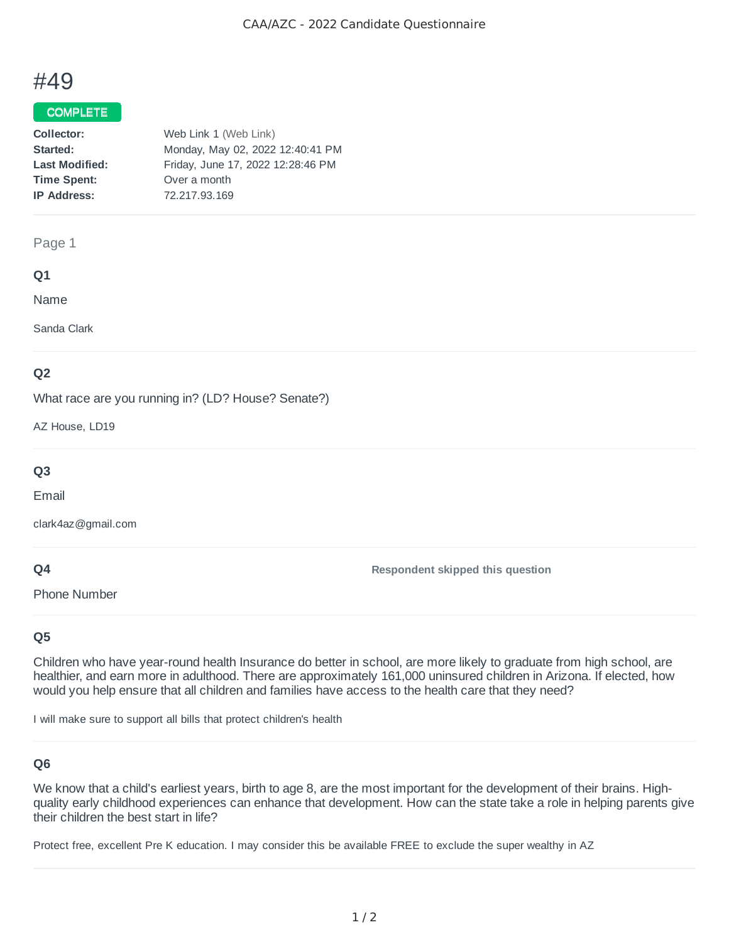# #49

### **COMPLETE**

| Web Link 1 (Web Link)             |
|-----------------------------------|
| Monday, May 02, 2022 12:40:41 PM  |
| Friday, June 17, 2022 12:28:46 PM |
| Over a month                      |
| 72.217.93.169                     |
|                                   |

#### Page 1

#### **Q1**

Name

Sanda Clark

## **Q2**

What race are you running in? (LD? House? Senate?)

AZ House, LD19

# **Q3**

Email

clark4az@gmail.com

Phone Number

#### **Q4**

## **Q5**

Children who have year-round health Insurance do better in school, are more likely to graduate from high school, are healthier, and earn more in adulthood. There are approximately 161,000 uninsured children in Arizona. If elected, how would you help ensure that all children and families have access to the health care that they need?

**Respondent skipped this question**

I will make sure to support all bills that protect children's health

## **Q6**

We know that a child's earliest years, birth to age 8, are the most important for the development of their brains. Highquality early childhood experiences can enhance that development. How can the state take a role in helping parents give their children the best start in life?

Protect free, excellent Pre K education. I may consider this be available FREE to exclude the super wealthy in AZ